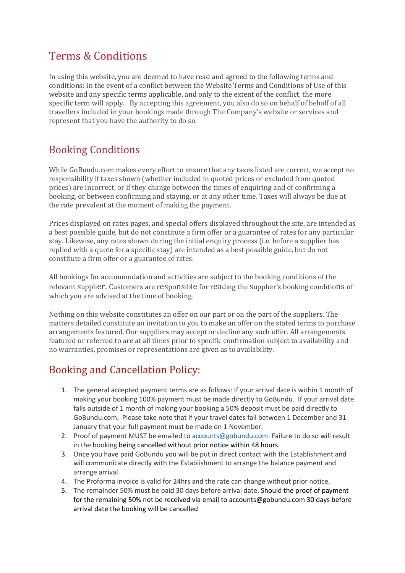### Terms & Conditions

In using this website, you are deemed to have read and agreed to the following terms and conditions: In the event of a conflict between the Website Terms and Conditions of Use of this website and any specific terms applicable, and only to the extent of the conflict, the more specific term will apply. By accepting this agreement, you also do so on behalf of behalf of all travellers included in your bookings made through The Company's website or services and represent that you have the authority to do so.

## **Booking Conditions**

While GoBundu.com makes every effort to ensure that any taxes listed are correct, we accept no responsibility if taxes shown (whether included in quoted prices or excluded from quoted prices) are incorrect, or if they change between the times of enquiring and of confirming a booking, or between confirming and staying, or at any other time. Taxes will always be due at the rate prevalent at the moment of making the payment.

Prices displayed on rates pages, and special offers displayed throughout the site, are intended as a best possible guide, but do not constitute a firm offer or a guarantee of rates for any particular stay. Likewise, any rates shown during the initial enquiry process (i.e. before a supplier has replied with a quote for a specific stay) are intended as a best possible guide, but do not constitute a firm offer or a guarantee of rates.

All bookings for accommodation and activities are subject to the booking conditions of the relevant Supplier. Customers are responsible for reading the Supplier's booking conditions of which you are advised at the time of booking.

Nothing on this website constitutes an offer on our part or on the part of the suppliers. The matters detailed constitute an invitation to you to make an offer on the stated terms to purchase arrangements featured. Our suppliers may accept or decline any such offer. All arrangements featured or referred to are at all times prior to specific confirmation subject to availability and no warranties, promises or representations are given as to availability.

### Booking and Cancellation Policy:

- 1. The general accepted payment terms are as follows: If your arrival date is within 1 month of making your booking 100% payment must be made directly to GoBundu. If your arrival date falls outside of 1 month of making your booking a 50% deposit must be paid directly to GoBundu.com. Please take note that if your travel dates fall between 1 December and 31 January that your full payment must be made on 1 November.
- 2. Proof of payment MUST be emailed to accounts@gobundu.com. Failure to do so will result in the booking being cancelled without prior notice within 48 hours.
- 3. Once you have paid GoBundu you will be put in direct contact with the Establishment and will communicate directly with the Establishment to arrange the balance payment and arrange arrival.
- 4. The Proforma invoice is valid for 24hrs and the rate can change without prior notice.
- 5. The remainder 50% must be paid 30 days before arrival date. Should the proof of payment for the remaining 50% not be received via email to accounts@gobundu.com 30 days before arrival date the booking will be cancelled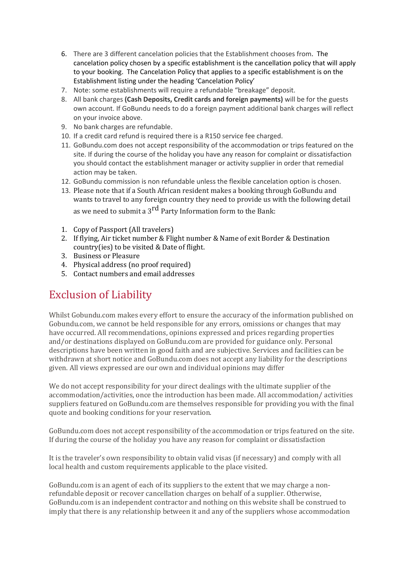- 6. There are 3 different cancelation policies that the Establishment chooses from. The cancelation policy chosen by a specific establishment is the cancellation policy that will apply to your booking. The Cancelation Policy that applies to a specific establishment is on the Establishment listing under the heading 'Cancelation Policy'
- 7. Note: some establishments will require a refundable "breakage" deposit.
- 8. All bank charges **(Cash Deposits, Credit cards and foreign payments)** will be for the guests own account. If GoBundu needs to do a foreign payment additional bank charges will reflect on your invoice above.
- 9. No bank charges are refundable.
- 10. If a credit card refund is required there is a R150 service fee charged.
- 11. GoBundu.com does not accept responsibility of the accommodation or trips featured on the site. If during the course of the holiday you have any reason for complaint or dissatisfaction you should contact the establishment manager or activity supplier in order that remedial action may be taken.
- 12. GoBundu commission is non refundable unless the flexible cancelation option is chosen.
- 13. Please note that if a South African resident makes a booking through GoBundu and wants to travel to any foreign country they need to provide us with the following detail as we need to submit a  $3^{rd}$  Party Information form to the Bank:
- 1. Copy of Passport (All travelers)
- 2. If flying, Air ticket number & Flight number & Name of exit Border & Destination country(ies) to be visited & Date of flight.
- 3. Business or Pleasure
- 4. Physical address (no proof required)
- 5. Contact numbers and email addresses

## Exclusion of Liability

Whilst Gobundu.com makes every effort to ensure the accuracy of the information published on Gobundu.com, we cannot be held responsible for any errors, omissions or changes that may have occurred. All recommendations, opinions expressed and prices regarding properties and/or destinations displayed on GoBundu.com are provided for guidance only. Personal descriptions have been written in good faith and are subjective. Services and facilities can be withdrawn at short notice and GoBundu.com does not accept any liability for the descriptions given. All views expressed are our own and individual opinions may differ

We do not accept responsibility for your direct dealings with the ultimate supplier of the accommodation/activities, once the introduction has been made. All accommodation/activities suppliers featured on GoBundu.com are themselves responsible for providing you with the final quote and booking conditions for your reservation.

GoBundu.com does not accept responsibility of the accommodation or trips featured on the site. If during the course of the holiday you have any reason for complaint or dissatisfaction

It is the traveler's own responsibility to obtain valid visas (if necessary) and comply with all local health and custom requirements applicable to the place visited.

GoBundu.com is an agent of each of its suppliers to the extent that we may charge a nonrefundable deposit or recover cancellation charges on behalf of a supplier. Otherwise, GoBundu.com is an independent contractor and nothing on this website shall be construed to imply that there is any relationship between it and any of the suppliers whose accommodation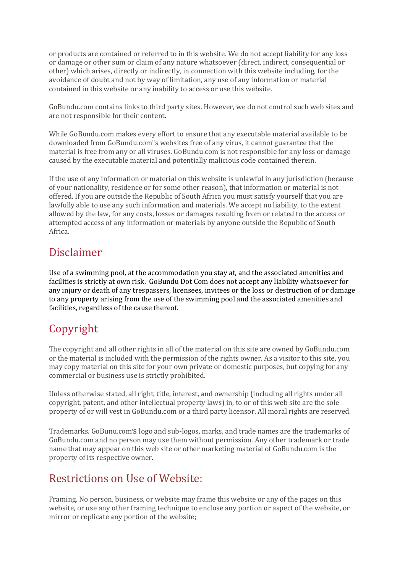or products are contained or referred to in this website. We do not accept liability for any loss or damage or other sum or claim of any nature whatsoever (direct, indirect, consequential or other) which arises, directly or indirectly, in connection with this website including, for the avoidance of doubt and not by way of limitation, any use of any information or material contained in this website or any inability to access or use this website.

GoBundu.com contains links to third party sites. However, we do not control such web sites and are not responsible for their content.

While GoBundu.com makes every effort to ensure that any executable material available to be downloaded from GoBundu.com"s websites free of any virus, it cannot guarantee that the material is free from any or all viruses. GoBundu.com is not responsible for any loss or damage caused by the executable material and potentially malicious code contained therein.

If the use of any information or material on this website is unlawful in any jurisdiction (because of your nationality, residence or for some other reason), that information or material is not offered. If you are outside the Republic of South Africa you must satisfy yourself that you are lawfully able to use any such information and materials. We accept no liability, to the extent allowed by the law, for any costs, losses or damages resulting from or related to the access or attempted access of any information or materials by anyone outside the Republic of South Africa. 

### Disclaimer

Use of a swimming pool, at the accommodation you stay at, and the associated amenities and facilities is strictly at own risk. GoBundu Dot Com does not accept any liability whatsoever for any injury or death of any trespassers, licensees, invitees or the loss or destruction of or damage to any property arising from the use of the swimming pool and the associated amenities and facilities, regardless of the cause thereof.

## Copyright

The copyright and all other rights in all of the material on this site are owned by GoBundu.com or the material is included with the permission of the rights owner. As a visitor to this site, you may copy material on this site for your own private or domestic purposes, but copying for any commercial or business use is strictly prohibited.

Unless otherwise stated, all right, title, interest, and ownership (including all rights under all copyright, patent, and other intellectual property laws) in, to or of this web site are the sole property of or will vest in GoBundu.com or a third party licensor. All moral rights are reserved.

Trademarks. GoBunu.com's logo and sub-logos, marks, and trade names are the trademarks of GoBundu.com and no person may use them without permission. Any other trademark or trade name that may appear on this web site or other marketing material of GoBundu.com is the property of its respective owner.

### Restrictions on Use of Website:

Framing. No person, business, or website may frame this website or any of the pages on this website, or use any other framing technique to enclose any portion or aspect of the website, or mirror or replicate any portion of the website;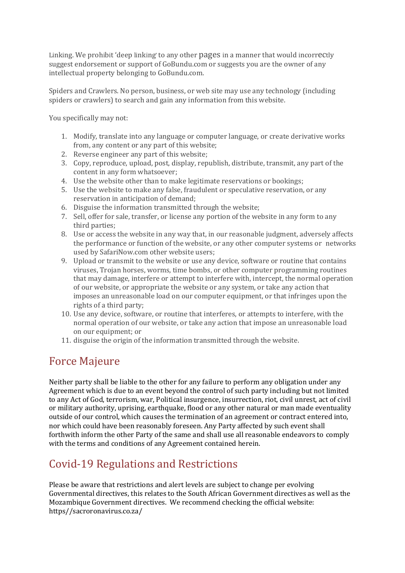Linking. We prohibit 'deep linking' to any other pages in a manner that would incorrectly suggest endorsement or support of GoBundu.com or suggests you are the owner of any intellectual property belonging to GoBundu.com.

Spiders and Crawlers. No person, business, or web site may use any technology (including spiders or crawlers) to search and gain any information from this website.

You specifically may not:

- 1. Modify, translate into any language or computer language, or create derivative works from, any content or any part of this website;
- 2. Reverse engineer any part of this website;
- 3. Copy, reproduce, upload, post, display, republish, distribute, transmit, any part of the content in any form whatsoever;
- 4. Use the website other than to make legitimate reservations or bookings;
- 5. Use the website to make any false, fraudulent or speculative reservation, or any reservation in anticipation of demand:
- 6. Disguise the information transmitted through the website;
- 7. Sell, offer for sale, transfer, or license any portion of the website in any form to any third parties:
- 8. Use or access the website in any way that, in our reasonable judgment, adversely affects the performance or function of the website, or any other computer systems or networks used by SafariNow.com other website users:
- 9. Upload or transmit to the website or use any device, software or routine that contains viruses, Trojan horses, worms, time bombs, or other computer programming routines that may damage, interfere or attempt to interfere with, intercept, the normal operation of our website, or appropriate the website or any system, or take any action that imposes an unreasonable load on our computer equipment, or that infringes upon the rights of a third party;
- 10. Use any device, software, or routine that interferes, or attempts to interfere, with the normal operation of our website, or take any action that impose an unreasonable load on our equipment; or
- 11. disguise the origin of the information transmitted through the website.

#### Force Majeure

Neither party shall be liable to the other for any failure to perform any obligation under any Agreement which is due to an event beyond the control of such party including but not limited to any Act of God, terrorism, war, Political insurgence, insurrection, riot, civil unrest, act of civil or military authority, uprising, earthquake, flood or any other natural or man made eventuality outside of our control, which causes the termination of an agreement or contract entered into, nor which could have been reasonably foreseen. Any Party affected by such event shall forthwith inform the other Party of the same and shall use all reasonable endeavors to comply with the terms and conditions of any Agreement contained herein.

### Covid-19 Regulations and Restrictions

Please be aware that restrictions and alert levels are subject to change per evolving Governmental directives, this relates to the South African Government directives as well as the Mozambique Government directives. We recommend checking the official website: https//sacroronavirus.co.za/